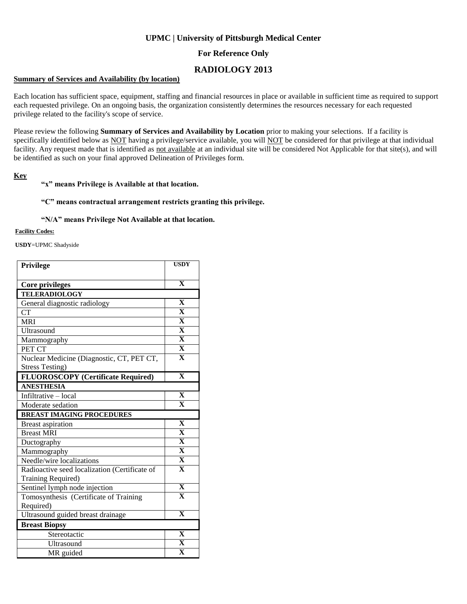# **UPMC | University of Pittsburgh Medical Center**

## **For Reference Only**

# **RADIOLOGY 2013**

### **Summary of Services and Availability (by location)**

Each location has sufficient space, equipment, staffing and financial resources in place or available in sufficient time as required to support each requested privilege. On an ongoing basis, the organization consistently determines the resources necessary for each requested privilege related to the facility's scope of service.

Please review the following **Summary of Services and Availability by Location** prior to making your selections. If a facility is specifically identified below as NOT having a privilege/service available, you will NOT be considered for that privilege at that individual facility. Any request made that is identified as not available at an individual site will be considered Not Applicable for that site(s), and will be identified as such on your final approved Delineation of Privileges form.

### **Key**

### **"x" means Privilege is Available at that location.**

#### **"C" means contractual arrangement restricts granting this privilege.**

#### **"N/A" means Privilege Not Available at that location.**

#### **Facility Codes:**

**USDY**=UPMC Shadyside

| Privilege                                     | <b>USDY</b>             |
|-----------------------------------------------|-------------------------|
|                                               |                         |
| <b>Core privileges</b>                        | $\overline{\mathbf{X}}$ |
| <b>TELERADIOLOGY</b>                          |                         |
| General diagnostic radiology                  | X                       |
| <b>CT</b>                                     | $\overline{\mathbf{X}}$ |
| <b>MRI</b>                                    | $\overline{\mathbf{X}}$ |
| Ultrasound                                    | $\overline{\mathbf{X}}$ |
| Mammography                                   | $\overline{\mathbf{X}}$ |
| PET CT                                        | $\overline{\mathbf{X}}$ |
| Nuclear Medicine (Diagnostic, CT, PET CT,     | $\overline{\mathbf{X}}$ |
| <b>Stress Testing)</b>                        |                         |
| <b>FLUOROSCOPY</b> (Certificate Required)     | $\overline{\mathbf{X}}$ |
| <b>ANESTHESIA</b>                             |                         |
| Infiltrative - local                          | $\overline{\mathbf{X}}$ |
| Moderate sedation                             | $\overline{\mathbf{X}}$ |
| <b>BREAST IMAGING PROCEDURES</b>              |                         |
| <b>Breast aspiration</b>                      | $\overline{\mathbf{X}}$ |
| <b>Breast MRI</b>                             | $\overline{\mathbf{X}}$ |
| Ductography                                   | $\overline{\mathbf{X}}$ |
| Mammography                                   | $\overline{\mathbf{X}}$ |
| Needle/wire localizations                     | $\overline{\mathbf{X}}$ |
| Radioactive seed localization (Certificate of | $\overline{\mathbf{X}}$ |
| Training Required)                            |                         |
| Sentinel lymph node injection                 | $\overline{\mathbf{X}}$ |
| Tomosynthesis (Certificate of Training        | $\overline{\mathbf{X}}$ |
| Required)                                     |                         |
| Ultrasound guided breast drainage             | $\overline{\mathbf{X}}$ |
| <b>Breast Biopsy</b>                          |                         |
| Stereotactic                                  | $\overline{\mathbf{X}}$ |
| Ultrasound                                    | $\overline{\mathbf{X}}$ |
| MR guided                                     | $\overline{\mathbf{X}}$ |